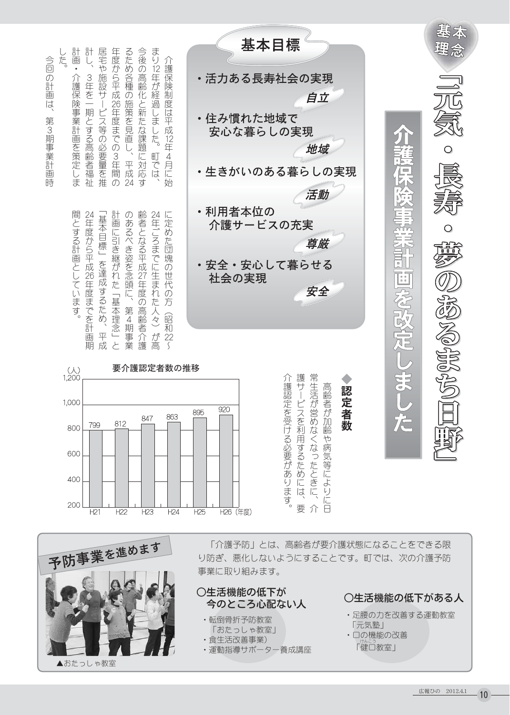| 計画<br>計<br>居宅や施設サ<br>まり12年が経過しました。<br>年度から平成26年度までの3年間<br>るため各種の施策を見直し、<br>今後の高齢化と新たな課題に対応<br>した。<br>今回の計画は、<br>介護保険制度は平成12年4月に始<br>3年を一期とする高齢者福祉<br>介護保険事業計画を策定しま<br>ビス等の必要量を推<br>第3期事業計画時<br>町では、<br>平成<br>$\overline{24}$<br>ਰ੍ਹ<br>$\mathcal{O}$<br>間とする計画としています。<br>計画に引き継がれた「基本理念」<br>齢者となる平成27年度の高齢者介護<br>「基本目標」を達成するため<br>24年ごろまでに生まれた人々)<br>24年度から平成26年度までを計画<br>のあるべき姿を念頭に、<br>に定めた団塊の世代の方<br>第4期事業<br>(昭和22) | 基本目標<br>・活力ある長寿社会の実現<br>自立<br>・住み慣れた地域で<br>安心な暮らしの実現<br>地域<br>・生きがいのある暮らしの実現<br>活動<br>利用者本位の<br>介護サービスの充実<br>尊厳<br>安全・安心して暮らせる<br>社会の実現<br>安全           | 슢<br>Ă<br>F<br>$\tilde{\epsilon}$<br>驳 | ₩                    |
|-------------------------------------------------------------------------------------------------------------------------------------------------------------------------------------------------------------------------------------------------------------------------------------------------------------------------------------------------------------------------------------------------------------------------|---------------------------------------------------------------------------------------------------------------------------------------------------------|----------------------------------------|----------------------|
| が高<br>平成<br>と<br>期<br>$\zeta$<br>要介護認定者数の推移<br>$\begin{array}{c}\n\circ \\ \circ \\ \circ\n\end{array}$<br>1,000<br>863<br>847<br>812<br>799<br>800<br>600<br>400<br>200<br>H <sub>23</sub><br>H2<br>H22<br>H24                                                                                                                                                                                                         | 常生<br>護サ<br>介護<br>高<br>認定者数<br>認定を受ける必要があります。<br>活が営めなくなったときに、<br>齢者が加齢や病気等によりに日<br>ビスを利用するためには、<br>920<br>895<br>要<br>介<br>H26 (年度)<br>H <sub>25</sub> | 意<br><b>PECS</b>                       | <b>STP CMILP ONS</b> |



「介護予防」とは、高齢者が要介護状態になることをできる限 り防ぎ、悪化しないようにすることです。町では、次の介護予防 事業に取り組みます。

## ○生活機能の低下が 今のところ心配ない人

- 
- · 転倒骨折予防教室 「おたっしゃ教室」
- 食生活改善事業)

・運動指導サポーター養成講座

## ○生活機能の低下がある人

- ・足腰の力を改善する運動教室 「元気塾」
- ・□の機能の改善 「健口教室」